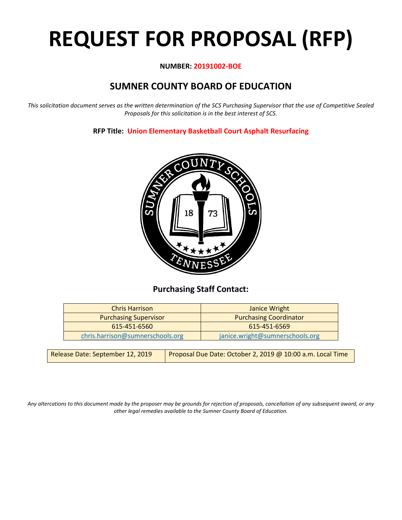# **REQUEST FOR PROPOSAL (RFP)**

# **NUMBER: 20191002-BOE**

# **SUMNER COUNTY BOARD OF EDUCATION**

*This solicitation document serves as the written determination of the SCS Purchasing Supervisor that the use of Competitive Sealed Proposals for this solicitation is in the best interest of SCS.*

# **RFP Title: Union Elementary Basketball Court Asphalt Resurfacing**



# **Purchasing Staff Contact:**

| Janice Wright                   |
|---------------------------------|
| <b>Purchasing Coordinator</b>   |
| 615-451-6569                    |
| janice.wright@sumnerschools.org |
|                                 |

*Any altercations to this document made by the proposer may be grounds for rejection of proposals, cancellation of any subsequent award, or any other legal remedies available to the Sumner County Board of Education.*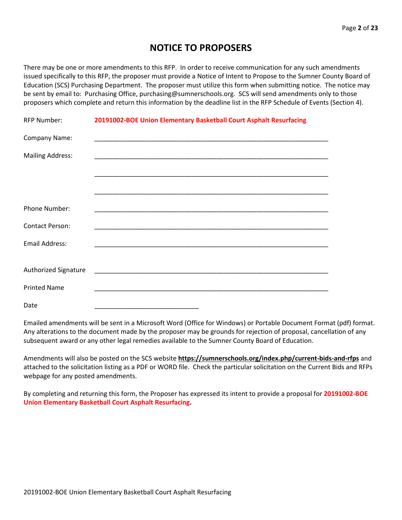# **NOTICE TO PROPOSERS**

There may be one or more amendments to this RFP. In order to receive communication for any such amendments issued specifically to this RFP, the proposer must provide a Notice of Intent to Propose to the Sumner County Board of Education (SCS) Purchasing Department. The proposer must utilize this form when submitting notice. The notice may be sent by email to: Purchasing Office, purchasing@sumnerschools.org. SCS will send amendments only to those proposers which complete and return this information by the deadline list in the RFP Schedule of Events (Section 4).

| <b>RFP Number:</b>      | 20191002-BOE Union Elementary Basketball Court Asphalt Resurfacing |
|-------------------------|--------------------------------------------------------------------|
| Company Name:           |                                                                    |
| <b>Mailing Address:</b> |                                                                    |
|                         |                                                                    |
|                         |                                                                    |
| Phone Number:           |                                                                    |
| <b>Contact Person:</b>  |                                                                    |
| <b>Email Address:</b>   |                                                                    |
|                         |                                                                    |
| Authorized Signature    |                                                                    |
| <b>Printed Name</b>     |                                                                    |
| Date                    |                                                                    |

Emailed amendments will be sent in a Microsoft Word (Office for Windows) or Portable Document Format (pdf) format. Any alterations to the document made by the proposer may be grounds for rejection of proposal, cancellation of any subsequent award or any other legal remedies available to the Sumner County Board of Education.

Amendments will also be posted on the SCS website **https://sumnerschools.org/index.php/current-bids-and-rfps** and attached to the solicitation listing as a PDF or WORD file. Check the particular solicitation on the Current Bids and RFPs webpage for any posted amendments.

By completing and returning this form, the Proposer has expressed its intent to provide a proposal for **20191002-BOE Union Elementary Basketball Court Asphalt Resurfacing.**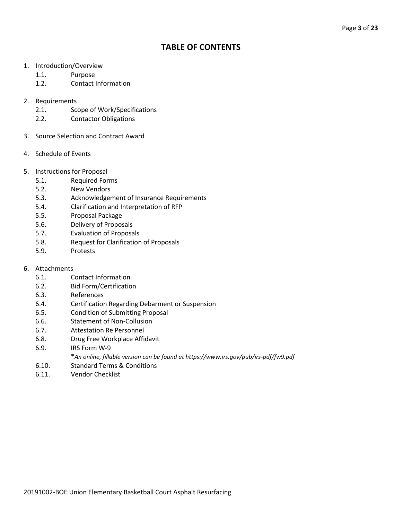# **TABLE OF CONTENTS**

- 1. Introduction/Overview
	- 1.1. Purpose
	- 1.2. Contact Information
- 2. Requirements
	- 2.1. Scope of Work/Specifications
	- 2.2. Contactor Obligations
- 3. Source Selection and Contract Award
- 4. Schedule of Events
- 5. Instructions for Proposal
	- 5.1. Required Forms
	- 5.2. New Vendors
	- 5.3. Acknowledgement of Insurance Requirements
	- 5.4. Clarification and Interpretation of RFP
	- 5.5. Proposal Package
	- 5.6. Delivery of Proposals
	- 5.7. Evaluation of Proposals
	- 5.8. Request for Clarification of Proposals
	- 5.9. Protests
- 6. Attachments
	- 6.1. Contact Information
	- 6.2. Bid Form/Certification
	- 6.3. References
	- 6.4. Certification Regarding Debarment or Suspension
	- 6.5. Condition of Submitting Proposal
	- 6.6. Statement of Non-Collusion
	- 6.7. Attestation Re Personnel
	- 6.8. Drug Free Workplace Affidavit
	- 6.9. IRS Form W-9
		- \**An online, fillable version can be found at https://www.irs.gov/pub/irs-pdf/fw9.pdf*
	- 6.10. Standard Terms & Conditions
	- 6.11. Vendor Checklist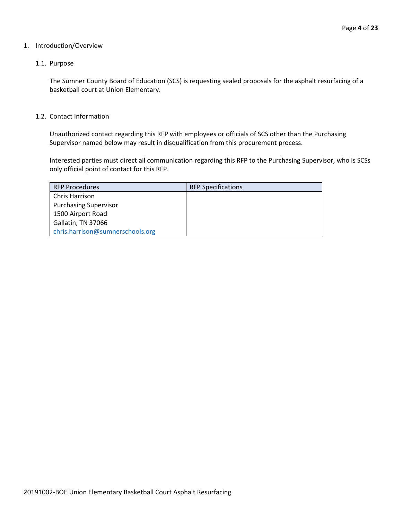#### 1. Introduction/Overview

#### 1.1. Purpose

The Sumner County Board of Education (SCS) is requesting sealed proposals for the asphalt resurfacing of a basketball court at Union Elementary.

#### 1.2. Contact Information

Unauthorized contact regarding this RFP with employees or officials of SCS other than the Purchasing Supervisor named below may result in disqualification from this procurement process.

Interested parties must direct all communication regarding this RFP to the Purchasing Supervisor, who is SCSs only official point of contact for this RFP.

| <b>RFP Procedures</b>            | <b>RFP Specifications</b> |
|----------------------------------|---------------------------|
| <b>Chris Harrison</b>            |                           |
| <b>Purchasing Supervisor</b>     |                           |
| 1500 Airport Road                |                           |
| Gallatin, TN 37066               |                           |
| chris.harrison@sumnerschools.org |                           |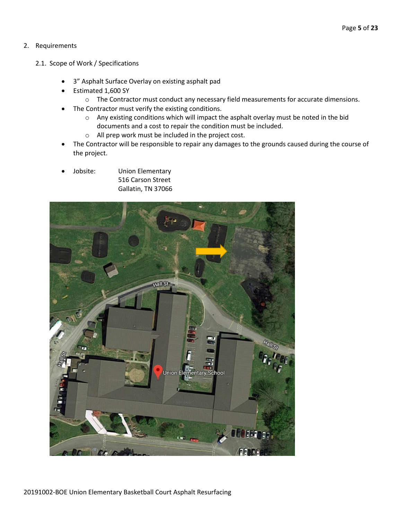## 2. Requirements

- 2.1. Scope of Work / Specifications
	- 3" Asphalt Surface Overlay on existing asphalt pad
	- Estimated 1,600 SY
		- o The Contractor must conduct any necessary field measurements for accurate dimensions.
	- The Contractor must verify the existing conditions.
		- o Any existing conditions which will impact the asphalt overlay must be noted in the bid documents and a cost to repair the condition must be included.
		- o All prep work must be included in the project cost.
	- The Contractor will be responsible to repair any damages to the grounds caused during the course of the project.
	- Jobsite: Union Elementary 516 Carson Street Gallatin, TN 37066

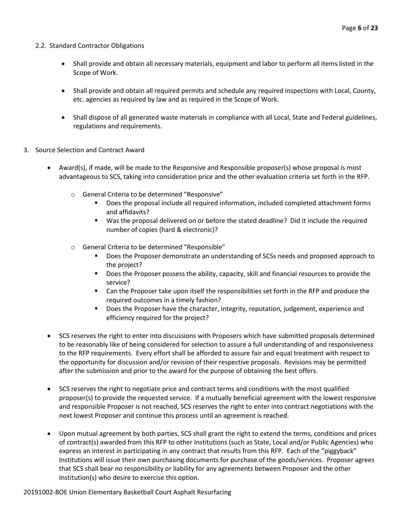- 2.2. Standard Contractor Obligations
	- Shall provide and obtain all necessary materials, equipment and labor to perform all items listed in the Scope of Work.
	- Shall provide and obtain all required permits and schedule any required inspections with Local, County, etc. agencies as required by law and as required in the Scope of Work.
	- Shall dispose of all generated waste materials in compliance with all Local, State and Federal guidelines, regulations and requirements.
- 3. Source Selection and Contract Award
	- Award(s), if made, will be made to the Responsive and Responsible proposer(s) whose proposal is most advantageous to SCS, taking into consideration price and the other evaluation criteria set forth in the RFP.
		- o General Criteria to be determined "Responsive"
			- Does the proposal include all required information, included completed attachment forms and affidavits?
			- Was the proposal delivered on or before the stated deadline? Did it include the required number of copies (hard & electronic)?
		- o General Criteria to be determined "Responsible"
			- Does the Proposer demonstrate an understanding of SCSs needs and proposed approach to the project?
			- **Does the Proposer possess the ability, capacity, skill and financial resources to provide the** service?
			- Can the Proposer take upon itself the responsibilities set forth in the RFP and produce the required outcomes in a timely fashion?
			- **Does the Proposer have the character, integrity, reputation, judgement, experience and** efficiency required for the project?
	- SCS reserves the right to enter into discussions with Proposers which have submitted proposals determined to be reasonably like of being considered for selection to assure a full understanding of and responsiveness to the RFP requirements. Every effort shall be afforded to assure fair and equal treatment with respect to the opportunity for discussion and/or revision of their respective proposals. Revisions may be permitted after the submission and prior to the award for the purpose of obtaining the best offers.
	- SCS reserves the right to negotiate price and contract terms and conditions with the most qualified proposer(s) to provide the requested service. If a mutually beneficial agreement with the lowest responsive and responsible Proposer is not reached, SCS reserves the right to enter into contract negotiations with the next lowest Proposer and continue this process until an agreement is reached.
	- Upon mutual agreement by both parties, SCS shall grant the right to extend the terms, conditions and prices of contract(s) awarded from this RFP to other Institutions (such as State, Local and/or Public Agencies) who express an interest in participating in any contract that results from this RFP. Each of the "piggyback" Institutions will issue their own purchasing documents for purchase of the goods/services. Proposer agrees that SCS shall bear no responsibility or liability for any agreements between Proposer and the other Institution(s) who desire to exercise this option.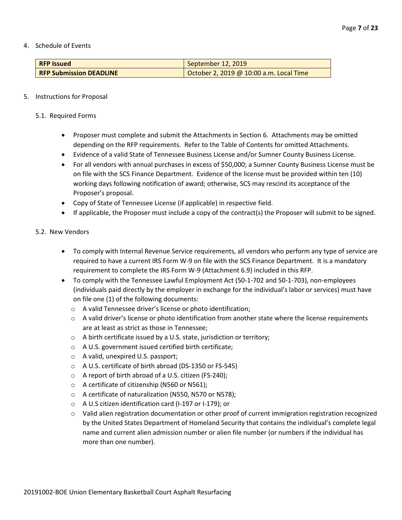4. Schedule of Events

| <b>RFP Issued</b>              | September 12, 2019                      |
|--------------------------------|-----------------------------------------|
| <b>RFP Submission DEADLINE</b> | October 2, 2019 @ 10:00 a.m. Local Time |

#### 5. Instructions for Proposal

- 5.1. Required Forms
	- Proposer must complete and submit the Attachments in Section 6. Attachments may be omitted depending on the RFP requirements. Refer to the Table of Contents for omitted Attachments.
	- Evidence of a valid State of Tennessee Business License and/or Sumner County Business License.
	- For all vendors with annual purchases in excess of \$50,000; a Sumner County Business License must be on file with the SCS Finance Department. Evidence of the license must be provided within ten (10) working days following notification of award; otherwise, SCS may rescind its acceptance of the Proposer's proposal.
	- Copy of State of Tennessee License (if applicable) in respective field.
	- If applicable, the Proposer must include a copy of the contract(s) the Proposer will submit to be signed.

#### 5.2. New Vendors

- To comply with Internal Revenue Service requirements, all vendors who perform any type of service are required to have a current IRS Form W-9 on file with the SCS Finance Department. It is a mandatory requirement to complete the IRS Form W-9 (Attachment 6.9) included in this RFP.
- To comply with the Tennessee Lawful Employment Act (50-1-702 and 50-1-703), non-employees (individuals paid directly by the employer in exchange for the individual's labor or services) must have on file one (1) of the following documents:
	- o A valid Tennessee driver's license or photo identification;
	- $\circ$  A valid driver's license or photo identification from another state where the license requirements are at least as strict as those in Tennessee;
	- o A birth certificate issued by a U.S. state, jurisdiction or territory;
	- o A U.S. government issued certified birth certificate;
	- o A valid, unexpired U.S. passport;
	- o A U.S. certificate of birth abroad (DS-1350 or FS-545)
	- o A report of birth abroad of a U.S. citizen (FS-240);
	- o A certificate of citizenship (N560 or N561);
	- o A certificate of naturalization (N550, N570 or N578);
	- o A U.S citizen identification card (I-197 or I-179); or
	- o Valid alien registration documentation or other proof of current immigration registration recognized by the United States Department of Homeland Security that contains the individual's complete legal name and current alien admission number or alien file number (or numbers if the individual has more than one number).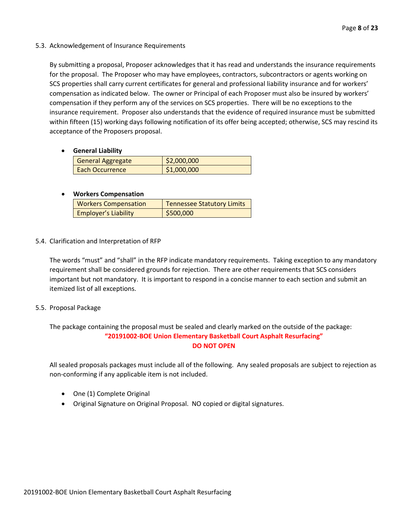#### 5.3. Acknowledgement of Insurance Requirements

By submitting a proposal, Proposer acknowledges that it has read and understands the insurance requirements for the proposal. The Proposer who may have employees, contractors, subcontractors or agents working on SCS properties shall carry current certificates for general and professional liability insurance and for workers' compensation as indicated below. The owner or Principal of each Proposer must also be insured by workers' compensation if they perform any of the services on SCS properties. There will be no exceptions to the insurance requirement. Proposer also understands that the evidence of required insurance must be submitted within fifteen (15) working days following notification of its offer being accepted; otherwise, SCS may rescind its acceptance of the Proposers proposal.

#### • **General Liability**

| <b>General Aggregate</b> | \$2,000,000 |
|--------------------------|-------------|
| Each Occurrence          | \$1,000,000 |

## • **Workers Compensation**

| <b>Workers Compensation</b> | <b>Tennessee Statutory Limits</b> |
|-----------------------------|-----------------------------------|
| <b>Employer's Liability</b> | \$500,000                         |

## 5.4. Clarification and Interpretation of RFP

The words "must" and "shall" in the RFP indicate mandatory requirements. Taking exception to any mandatory requirement shall be considered grounds for rejection. There are other requirements that SCS considers important but not mandatory. It is important to respond in a concise manner to each section and submit an itemized list of all exceptions.

#### 5.5. Proposal Package

The package containing the proposal must be sealed and clearly marked on the outside of the package: **"20191002-BOE Union Elementary Basketball Court Asphalt Resurfacing" DO NOT OPEN**

All sealed proposals packages must include all of the following. Any sealed proposals are subject to rejection as non-conforming if any applicable item is not included.

- One (1) Complete Original
- Original Signature on Original Proposal. NO copied or digital signatures.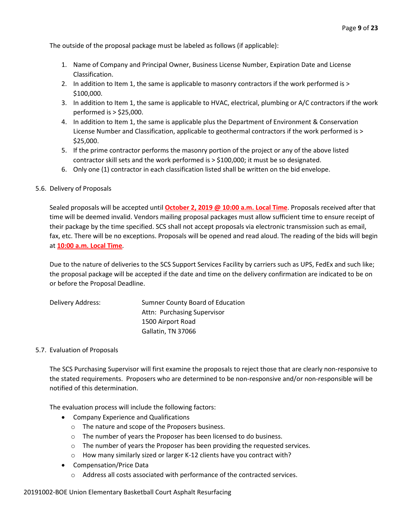The outside of the proposal package must be labeled as follows (if applicable):

- 1. Name of Company and Principal Owner, Business License Number, Expiration Date and License Classification.
- 2. In addition to Item 1, the same is applicable to masonry contractors if the work performed is > \$100,000.
- 3. In addition to Item 1, the same is applicable to HVAC, electrical, plumbing or A/C contractors if the work performed is > \$25,000.
- 4. In addition to Item 1, the same is applicable plus the Department of Environment & Conservation License Number and Classification, applicable to geothermal contractors if the work performed is > \$25,000.
- 5. If the prime contractor performs the masonry portion of the project or any of the above listed contractor skill sets and the work performed is > \$100,000; it must be so designated.
- 6. Only one (1) contractor in each classification listed shall be written on the bid envelope.

#### 5.6. Delivery of Proposals

Sealed proposals will be accepted until **October 2, 2019 @ 10:00 a.m. Local Time**. Proposals received after that time will be deemed invalid. Vendors mailing proposal packages must allow sufficient time to ensure receipt of their package by the time specified. SCS shall not accept proposals via electronic transmission such as email, fax, etc. There will be no exceptions. Proposals will be opened and read aloud. The reading of the bids will begin at **10:00 a.m. Local Time**.

Due to the nature of deliveries to the SCS Support Services Facility by carriers such as UPS, FedEx and such like; the proposal package will be accepted if the date and time on the delivery confirmation are indicated to be on or before the Proposal Deadline.

| Delivery Address: | Sumner County Board of Education |
|-------------------|----------------------------------|
|                   | Attn: Purchasing Supervisor      |
|                   | 1500 Airport Road                |
|                   | Gallatin, TN 37066               |

#### 5.7. Evaluation of Proposals

The SCS Purchasing Supervisor will first examine the proposals to reject those that are clearly non-responsive to the stated requirements. Proposers who are determined to be non-responsive and/or non-responsible will be notified of this determination.

The evaluation process will include the following factors:

- Company Experience and Qualifications
	- o The nature and scope of the Proposers business.
	- o The number of years the Proposer has been licensed to do business.
	- o The number of years the Proposer has been providing the requested services.
	- o How many similarly sized or larger K-12 clients have you contract with?
- Compensation/Price Data
	- o Address all costs associated with performance of the contracted services.

#### 20191002-BOE Union Elementary Basketball Court Asphalt Resurfacing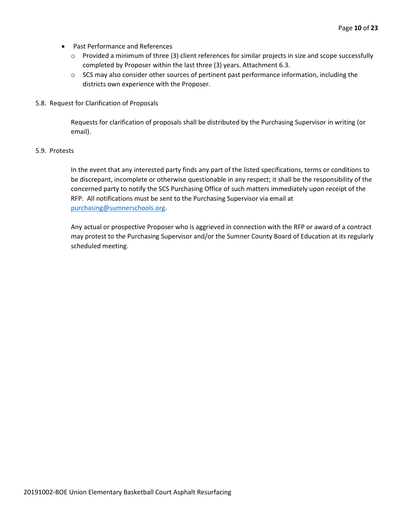- Past Performance and References
	- o Provided a minimum of three (3) client references for similar projects in size and scope successfully completed by Proposer within the last three (3) years. Attachment 6.3.
	- $\circ$  SCS may also consider other sources of pertinent past performance information, including the districts own experience with the Proposer.
- 5.8. Request for Clarification of Proposals

Requests for clarification of proposals shall be distributed by the Purchasing Supervisor in writing (or email).

#### 5.9. Protests

In the event that any interested party finds any part of the listed specifications, terms or conditions to be discrepant, incomplete or otherwise questionable in any respect; it shall be the responsibility of the concerned party to notify the SCS Purchasing Office of such matters immediately upon receipt of the RFP. All notifications must be sent to the Purchasing Supervisor via email at [purchasing@sumnerschools.org.](mailto:purchasing@sumnerschools.org)

Any actual or prospective Proposer who is aggrieved in connection with the RFP or award of a contract may protest to the Purchasing Supervisor and/or the Sumner County Board of Education at its regularly scheduled meeting.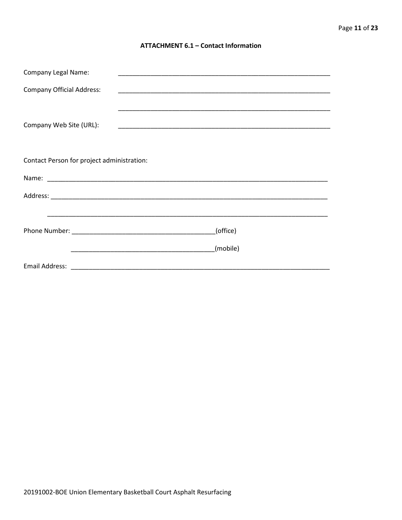#### **ATTACHMENT 6.1 - Contact Information**

| <b>Company Legal Name:</b>                 |          |
|--------------------------------------------|----------|
| <b>Company Official Address:</b>           |          |
|                                            |          |
| Company Web Site (URL):                    |          |
|                                            |          |
| Contact Person for project administration: |          |
|                                            |          |
|                                            |          |
|                                            |          |
|                                            | (office) |
|                                            | (mobile) |
|                                            |          |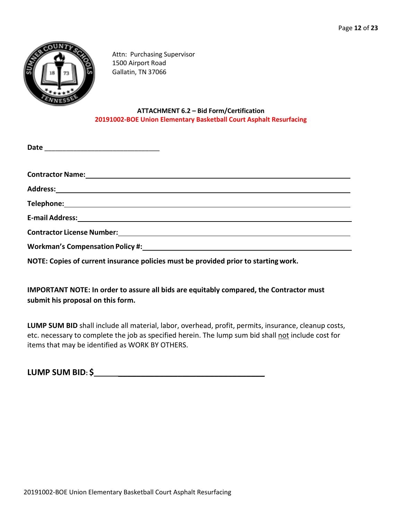

Attn: Purchasing Supervisor 1500 Airport Road Gallatin, TN 37066

## **ATTACHMENT 6.2 – Bid Form/Certification 20191002-BOE Union Elementary Basketball Court Asphalt Resurfacing**

| <b>Contractor Name:</b> <u>Contractor</u> Name:                                                                                                                                                                                |  |
|--------------------------------------------------------------------------------------------------------------------------------------------------------------------------------------------------------------------------------|--|
|                                                                                                                                                                                                                                |  |
|                                                                                                                                                                                                                                |  |
| E-mail Address: Universe of the Contract of the Contract of the Contract of the Contract of the Contract of the Contract of the Contract of the Contract of the Contract of the Contract of the Contract of the Contract of th |  |
|                                                                                                                                                                                                                                |  |
| Workman's Compensation Policy #: North Management Competition and American Competition and American Competition                                                                                                                |  |
|                                                                                                                                                                                                                                |  |

**NOTE: Copies of current insurance policies must be provided prior to startingwork.**

# **IMPORTANT NOTE: In order to assure all bids are equitably compared, the Contractor must submit his proposal on this form.**

**LUMP SUM BID** shall include all material, labor, overhead, profit, permits, insurance, cleanup costs, etc. necessary to complete the job as specified herein. The lump sum bid shall not include cost for items that may be identified as WORK BY OTHERS.

**LUMP SUM BID: \$ \_\_\_\_\_\_\_\_\_\_\_\_\_\_\_\_\_\_\_\_\_\_\_\_\_\_\_\_\_\_\_\_**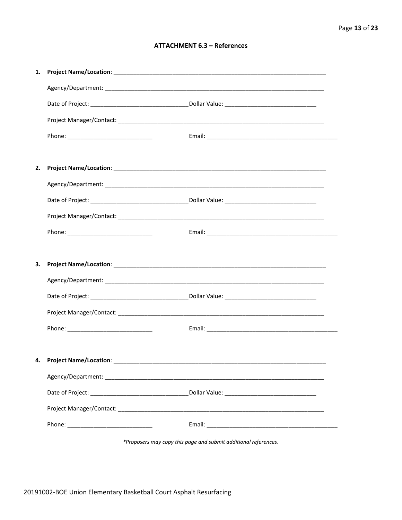## **ATTACHMENT 6.3 - References**

| 1. |                           |  |
|----|---------------------------|--|
|    |                           |  |
|    |                           |  |
|    |                           |  |
|    |                           |  |
|    |                           |  |
| 2. |                           |  |
|    |                           |  |
|    |                           |  |
|    |                           |  |
|    |                           |  |
|    |                           |  |
| З. |                           |  |
|    |                           |  |
|    |                           |  |
|    |                           |  |
|    |                           |  |
|    |                           |  |
|    | 4. Project Name/Location: |  |
|    |                           |  |
|    |                           |  |
|    |                           |  |
|    |                           |  |
|    |                           |  |

\*Proposers may copy this page and submit additional references.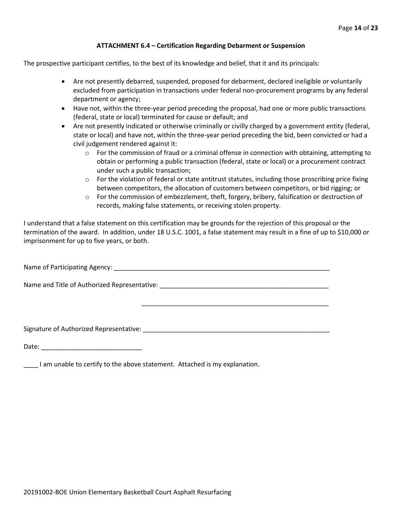#### **ATTACHMENT 6.4 – Certification Regarding Debarment or Suspension**

The prospective participant certifies, to the best of its knowledge and belief, that it and its principals:

- Are not presently debarred, suspended, proposed for debarment, declared ineligible or voluntarily excluded from participation in transactions under federal non-procurement programs by any federal department or agency;
- Have not, within the three-year period preceding the proposal, had one or more public transactions (federal, state or local) terminated for cause or default; and
- Are not presently indicated or otherwise criminally or civilly charged by a government entity (federal, state or local) and have not, within the three-year period preceding the bid, been convicted or had a civil judgement rendered against it:
	- $\circ$  For the commission of fraud or a criminal offense in connection with obtaining, attempting to obtain or performing a public transaction (federal, state or local) or a procurement contract under such a public transaction;
	- $\circ$  For the violation of federal or state antitrust statutes, including those proscribing price fixing between competitors, the allocation of customers between competitors, or bid rigging; or
	- o For the commission of embezzlement, theft, forgery, bribery, falsification or destruction of records, making false statements, or receiving stolen property.

\_\_\_\_\_\_\_\_\_\_\_\_\_\_\_\_\_\_\_\_\_\_\_\_\_\_\_\_\_\_\_\_\_\_\_\_\_\_\_\_\_\_\_\_\_\_\_\_\_\_\_\_

I understand that a false statement on this certification may be grounds for the rejection of this proposal or the termination of the award. In addition, under 18 U.S.C. 1001, a false statement may result in a fine of up to \$10,000 or imprisonment for up to five years, or both.

Name of Participating Agency: \_\_\_\_\_\_\_\_\_\_\_\_\_\_\_\_\_\_\_\_\_\_\_\_\_\_\_\_\_\_\_\_\_\_\_\_\_\_\_\_\_\_\_\_\_\_\_\_\_\_\_\_\_\_\_\_\_\_\_\_

Name and Title of Authorized Representative: \_\_\_\_\_\_\_\_\_\_\_\_\_\_\_\_\_\_\_\_\_\_\_\_\_\_\_\_\_\_\_\_\_\_\_\_\_\_\_\_\_\_\_\_\_\_\_

Signature of Authorized Representative: \_\_\_\_\_\_\_\_\_\_\_\_\_\_\_\_\_\_\_\_\_\_\_\_\_\_\_\_\_\_\_\_\_\_\_\_\_\_\_\_\_\_\_\_\_\_\_\_\_\_\_\_

Date: \_\_\_\_\_\_\_\_\_\_\_\_\_\_\_\_\_\_\_\_\_\_\_\_\_\_\_\_

\_\_\_\_ I am unable to certify to the above statement. Attached is my explanation.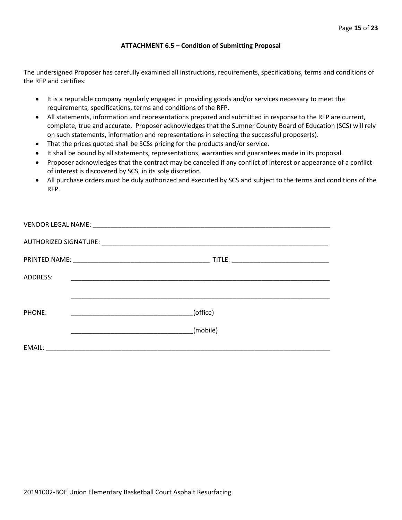#### **ATTACHMENT 6.5 – Condition of Submitting Proposal**

The undersigned Proposer has carefully examined all instructions, requirements, specifications, terms and conditions of the RFP and certifies:

- It is a reputable company regularly engaged in providing goods and/or services necessary to meet the requirements, specifications, terms and conditions of the RFP.
- All statements, information and representations prepared and submitted in response to the RFP are current, complete, true and accurate. Proposer acknowledges that the Sumner County Board of Education (SCS) will rely on such statements, information and representations in selecting the successful proposer(s).
- That the prices quoted shall be SCSs pricing for the products and/or service.
- It shall be bound by all statements, representations, warranties and guarantees made in its proposal.
- Proposer acknowledges that the contract may be canceled if any conflict of interest or appearance of a conflict of interest is discovered by SCS, in its sole discretion.
- All purchase orders must be duly authorized and executed by SCS and subject to the terms and conditions of the RFP.

| <b>ADDRESS:</b> |          |  |
|-----------------|----------|--|
|                 |          |  |
| PHONE:          | (office) |  |
|                 | (mobile) |  |
|                 |          |  |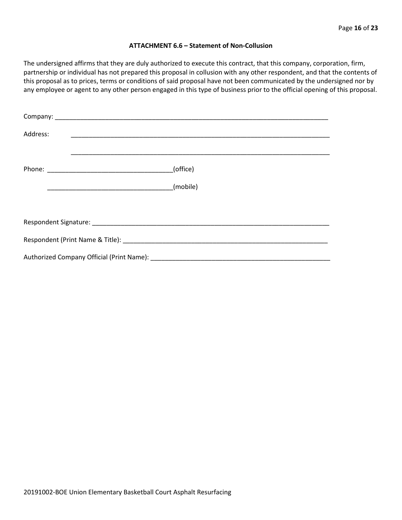#### **ATTACHMENT 6.6 – Statement of Non-Collusion**

The undersigned affirms that they are duly authorized to execute this contract, that this company, corporation, firm, partnership or individual has not prepared this proposal in collusion with any other respondent, and that the contents of this proposal as to prices, terms or conditions of said proposal have not been communicated by the undersigned nor by any employee or agent to any other person engaged in this type of business prior to the official opening of this proposal.

| Address: | <u> 1989 - Johann John Stoff, deutscher Stoffen und der Stoffen und der Stoffen und der Stoffen und der Stoffen</u> |  |  |  |  |
|----------|---------------------------------------------------------------------------------------------------------------------|--|--|--|--|
|          | (office)                                                                                                            |  |  |  |  |
|          | (mobile)                                                                                                            |  |  |  |  |
|          |                                                                                                                     |  |  |  |  |
|          |                                                                                                                     |  |  |  |  |
|          |                                                                                                                     |  |  |  |  |
|          |                                                                                                                     |  |  |  |  |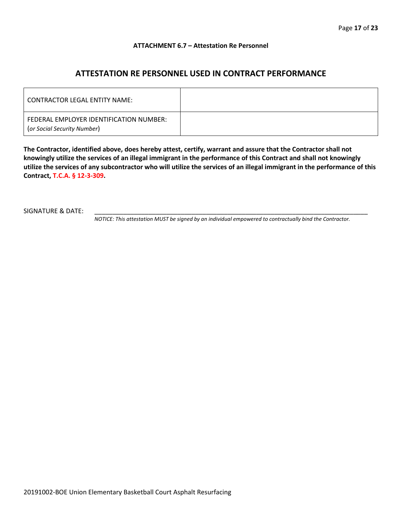#### **ATTACHMENT 6.7 – Attestation Re Personnel**

# **ATTESTATION RE PERSONNEL USED IN CONTRACT PERFORMANCE**

| CONTRACTOR LEGAL ENTITY NAME:                                          |  |
|------------------------------------------------------------------------|--|
| FEDERAL EMPLOYER IDENTIFICATION NUMBER:<br>(or Social Security Number) |  |

**The Contractor, identified above, does hereby attest, certify, warrant and assure that the Contractor shall not knowingly utilize the services of an illegal immigrant in the performance of this Contract and shall not knowingly utilize the services of any subcontractor who will utilize the services of an illegal immigrant in the performance of this Contract, T.C.A. § 12-3-309.**

SIGNATURE & DATE:

*NOTICE: This attestation MUST be signed by an individual empowered to contractually bind the Contractor.*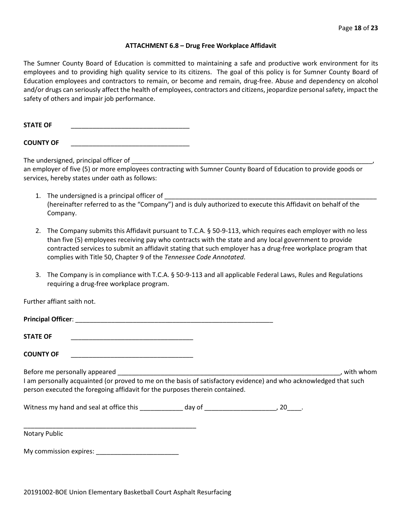#### **ATTACHMENT 6.8 – Drug Free Workplace Affidavit**

The Sumner County Board of Education is committed to maintaining a safe and productive work environment for its employees and to providing high quality service to its citizens. The goal of this policy is for Sumner County Board of Education employees and contractors to remain, or become and remain, drug-free. Abuse and dependency on alcohol and/or drugs can seriously affect the health of employees, contractors and citizens, jeopardize personal safety, impact the safety of others and impair job performance.

STATE OF

**COUNTY OF** \_\_\_\_\_\_\_\_\_\_\_\_\_\_\_\_\_\_\_\_\_\_\_\_\_\_\_\_\_\_\_\_\_

The undersigned, principal officer of

an employer of five (5) or more employees contracting with Sumner County Board of Education to provide goods or services, hereby states under oath as follows:

- 1. The undersigned is a principal officer of (hereinafter referred to as the "Company") and is duly authorized to execute this Affidavit on behalf of the Company.
- 2. The Company submits this Affidavit pursuant to T.C.A. § 50-9-113, which requires each employer with no less than five (5) employees receiving pay who contracts with the state and any local government to provide contracted services to submit an affidavit stating that such employer has a drug-free workplace program that complies with Title 50, Chapter 9 of the *Tennessee Code Annotated*.
- 3. The Company is in compliance with T.C.A. § 50-9-113 and all applicable Federal Laws, Rules and Regulations requiring a drug-free workplace program.

Further affiant saith not.

| <b>STATE OF</b><br>the control of the control of the control of the control of the control of the control of the control of the control of the control of the control of the control of the control of the control of the control of the control |  |             |
|--------------------------------------------------------------------------------------------------------------------------------------------------------------------------------------------------------------------------------------------------|--|-------------|
| <b>COUNTY OF</b>                                                                                                                                                                                                                                 |  |             |
| I am personally acquainted (or proved to me on the basis of satisfactory evidence) and who acknowledged that such<br>person executed the foregoing affidavit for the purposes therein contained.                                                 |  | , with whom |
|                                                                                                                                                                                                                                                  |  |             |
| Notary Public                                                                                                                                                                                                                                    |  |             |
|                                                                                                                                                                                                                                                  |  |             |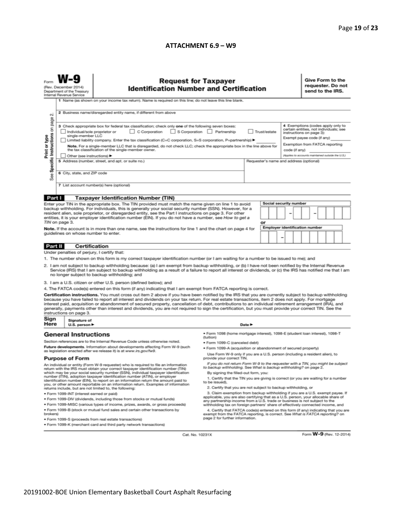#### **ATTACHMENT 6.9 – W9**

|                                                                                                                                                                                                                                                                                                                                                                                                                                                                                                                                                                                                                                                                                                                                                                                     | <b>Request for Taxpayer</b><br>(Rev. December 2014)<br><b>Identification Number and Certification</b><br>Department of the Treasury<br>Internal Revenue Service<br>1 Name (as shown on your income tax return). Name is required on this line; do not leave this line blank.                                                                                                                                                                                                                                                                                                                                                                                                                                                                                                                                     |                                                                                                                                                                                                 |                                                                                                                                                                                                                                                        |    |  |                               |  | Give Form to the<br>requester. Do not<br>send to the IRS.                                                                                                                                                                    |                                       |  |  |                         |  |
|-------------------------------------------------------------------------------------------------------------------------------------------------------------------------------------------------------------------------------------------------------------------------------------------------------------------------------------------------------------------------------------------------------------------------------------------------------------------------------------------------------------------------------------------------------------------------------------------------------------------------------------------------------------------------------------------------------------------------------------------------------------------------------------|------------------------------------------------------------------------------------------------------------------------------------------------------------------------------------------------------------------------------------------------------------------------------------------------------------------------------------------------------------------------------------------------------------------------------------------------------------------------------------------------------------------------------------------------------------------------------------------------------------------------------------------------------------------------------------------------------------------------------------------------------------------------------------------------------------------|-------------------------------------------------------------------------------------------------------------------------------------------------------------------------------------------------|--------------------------------------------------------------------------------------------------------------------------------------------------------------------------------------------------------------------------------------------------------|----|--|-------------------------------|--|------------------------------------------------------------------------------------------------------------------------------------------------------------------------------------------------------------------------------|---------------------------------------|--|--|-------------------------|--|
| N<br>Specific Instructions on page<br>Print or type<br>See                                                                                                                                                                                                                                                                                                                                                                                                                                                                                                                                                                                                                                                                                                                          | 2 Business name/disregarded entity name, if different from above<br>3 Check appropriate box for federal tax classification; check only one of the following seven boxes:<br>C Corporation S Corporation Partnership<br>Individual/sole proprietor or<br>Trust/estate<br>single-member LLC<br>Limited liability company. Enter the tax classification (C=C corporation, S=S corporation, P=partnership) ▶<br>Note. For a single-member LLC that is disregarded, do not check LLC; check the appropriate box in the line above for<br>the tax classification of the single-member owner.<br>code (if any)<br>Other (see instructions) ▶<br>5 Address (number, street, and apt. or suite no.)<br>Requester's name and address (optional)<br>6 City, state, and ZIP code<br>7 List account number(s) here (optional) |                                                                                                                                                                                                 |                                                                                                                                                                                                                                                        |    |  |                               |  | 4 Exemptions (codes apply only to<br>certain entities, not individuals; see<br>instructions on page 3):<br>Exempt payee code (if any)<br>Exemption from FATCA reporting<br>(Applies to accounts maintained outside the U.S.) |                                       |  |  |                         |  |
| Part I                                                                                                                                                                                                                                                                                                                                                                                                                                                                                                                                                                                                                                                                                                                                                                              |                                                                                                                                                                                                                                                                                                                                                                                                                                                                                                                                                                                                                                                                                                                                                                                                                  | <b>Taxpayer Identification Number (TIN)</b>                                                                                                                                                     |                                                                                                                                                                                                                                                        |    |  |                               |  |                                                                                                                                                                                                                              |                                       |  |  |                         |  |
|                                                                                                                                                                                                                                                                                                                                                                                                                                                                                                                                                                                                                                                                                                                                                                                     |                                                                                                                                                                                                                                                                                                                                                                                                                                                                                                                                                                                                                                                                                                                                                                                                                  | Enter your TIN in the appropriate box. The TIN provided must match the name given on line 1 to avoid                                                                                            |                                                                                                                                                                                                                                                        |    |  | <b>Social security number</b> |  |                                                                                                                                                                                                                              |                                       |  |  |                         |  |
| backup withholding. For individuals, this is generally your social security number (SSN). However, for a<br>resident alien, sole proprietor, or disregarded entity, see the Part I instructions on page 3. For other<br>entities, it is your employer identification number (EIN). If you do not have a number, see How to get a<br>TIN on page 3.                                                                                                                                                                                                                                                                                                                                                                                                                                  |                                                                                                                                                                                                                                                                                                                                                                                                                                                                                                                                                                                                                                                                                                                                                                                                                  |                                                                                                                                                                                                 |                                                                                                                                                                                                                                                        | or |  |                               |  |                                                                                                                                                                                                                              |                                       |  |  |                         |  |
|                                                                                                                                                                                                                                                                                                                                                                                                                                                                                                                                                                                                                                                                                                                                                                                     |                                                                                                                                                                                                                                                                                                                                                                                                                                                                                                                                                                                                                                                                                                                                                                                                                  | Note. If the account is in more than one name, see the instructions for line 1 and the chart on page 4 for                                                                                      |                                                                                                                                                                                                                                                        |    |  |                               |  |                                                                                                                                                                                                                              | <b>Employer identification number</b> |  |  |                         |  |
|                                                                                                                                                                                                                                                                                                                                                                                                                                                                                                                                                                                                                                                                                                                                                                                     | guidelines on whose number to enter.                                                                                                                                                                                                                                                                                                                                                                                                                                                                                                                                                                                                                                                                                                                                                                             |                                                                                                                                                                                                 |                                                                                                                                                                                                                                                        |    |  |                               |  |                                                                                                                                                                                                                              |                                       |  |  |                         |  |
| Part II                                                                                                                                                                                                                                                                                                                                                                                                                                                                                                                                                                                                                                                                                                                                                                             | Certification                                                                                                                                                                                                                                                                                                                                                                                                                                                                                                                                                                                                                                                                                                                                                                                                    |                                                                                                                                                                                                 |                                                                                                                                                                                                                                                        |    |  |                               |  |                                                                                                                                                                                                                              |                                       |  |  |                         |  |
|                                                                                                                                                                                                                                                                                                                                                                                                                                                                                                                                                                                                                                                                                                                                                                                     | Under penalties of perjury, I certify that:                                                                                                                                                                                                                                                                                                                                                                                                                                                                                                                                                                                                                                                                                                                                                                      |                                                                                                                                                                                                 |                                                                                                                                                                                                                                                        |    |  |                               |  |                                                                                                                                                                                                                              |                                       |  |  |                         |  |
| 1. The number shown on this form is my correct taxpayer identification number (or I am waiting for a number to be issued to me); and<br>2. I am not subject to backup withholding because: (a) I am exempt from backup withholding, or (b) I have not been notified by the Internal Revenue<br>Service (IRS) that I am subject to backup withholding as a result of a failure to report all interest or dividends, or (c) the IRS has notified me that I am<br>no longer subject to backup withholding; and                                                                                                                                                                                                                                                                         |                                                                                                                                                                                                                                                                                                                                                                                                                                                                                                                                                                                                                                                                                                                                                                                                                  |                                                                                                                                                                                                 |                                                                                                                                                                                                                                                        |    |  |                               |  |                                                                                                                                                                                                                              |                                       |  |  |                         |  |
|                                                                                                                                                                                                                                                                                                                                                                                                                                                                                                                                                                                                                                                                                                                                                                                     |                                                                                                                                                                                                                                                                                                                                                                                                                                                                                                                                                                                                                                                                                                                                                                                                                  | 3. I am a U.S. citizen or other U.S. person (defined below); and                                                                                                                                |                                                                                                                                                                                                                                                        |    |  |                               |  |                                                                                                                                                                                                                              |                                       |  |  |                         |  |
| 4. The FATCA code(s) entered on this form (if any) indicating that I am exempt from FATCA reporting is correct.<br>Certification instructions. You must cross out item 2 above if you have been notified by the IRS that you are currently subject to backup withholding<br>because you have failed to report all interest and dividends on your tax return. For real estate transactions, item 2 does not apply. For mortgage<br>interest paid, acquisition or abandonment of secured property, cancellation of debt, contributions to an individual retirement arrangement (IRA), and<br>generally, payments other than interest and dividends, you are not required to sign the certification, but you must provide your correct TIN. See the<br>instructions on page 3.<br>Sign |                                                                                                                                                                                                                                                                                                                                                                                                                                                                                                                                                                                                                                                                                                                                                                                                                  |                                                                                                                                                                                                 |                                                                                                                                                                                                                                                        |    |  |                               |  |                                                                                                                                                                                                                              |                                       |  |  |                         |  |
| Here                                                                                                                                                                                                                                                                                                                                                                                                                                                                                                                                                                                                                                                                                                                                                                                | Signature of<br>U.S. person $\blacktriangleright$                                                                                                                                                                                                                                                                                                                                                                                                                                                                                                                                                                                                                                                                                                                                                                |                                                                                                                                                                                                 | Date P                                                                                                                                                                                                                                                 |    |  |                               |  |                                                                                                                                                                                                                              |                                       |  |  |                         |  |
| ● Form 1098 (home mortgage interest), 1098-E (student loan interest), 1098-T<br><b>General Instructions</b><br>(tuition)                                                                                                                                                                                                                                                                                                                                                                                                                                                                                                                                                                                                                                                            |                                                                                                                                                                                                                                                                                                                                                                                                                                                                                                                                                                                                                                                                                                                                                                                                                  |                                                                                                                                                                                                 |                                                                                                                                                                                                                                                        |    |  |                               |  |                                                                                                                                                                                                                              |                                       |  |  |                         |  |
|                                                                                                                                                                                                                                                                                                                                                                                                                                                                                                                                                                                                                                                                                                                                                                                     |                                                                                                                                                                                                                                                                                                                                                                                                                                                                                                                                                                                                                                                                                                                                                                                                                  | Section references are to the Internal Revenue Code unless otherwise noted.<br>Future developments. Information about developments affecting Form W-9 (such                                     | · Form 1099-C (canceled debt)                                                                                                                                                                                                                          |    |  |                               |  |                                                                                                                                                                                                                              |                                       |  |  |                         |  |
| as legislation enacted after we release it) is at www.irs.gov/fw9.<br><b>Purpose of Form</b>                                                                                                                                                                                                                                                                                                                                                                                                                                                                                                                                                                                                                                                                                        |                                                                                                                                                                                                                                                                                                                                                                                                                                                                                                                                                                                                                                                                                                                                                                                                                  | . Form 1099-A (acquisition or abandonment of secured property)<br>Use Form W-9 only if you are a U.S. person (including a resident alien), to<br>provide your correct TIN.                      |                                                                                                                                                                                                                                                        |    |  |                               |  |                                                                                                                                                                                                                              |                                       |  |  |                         |  |
|                                                                                                                                                                                                                                                                                                                                                                                                                                                                                                                                                                                                                                                                                                                                                                                     |                                                                                                                                                                                                                                                                                                                                                                                                                                                                                                                                                                                                                                                                                                                                                                                                                  | If you do not return Form W-9 to the requester with a TIN, you might be subject                                                                                                                 |                                                                                                                                                                                                                                                        |    |  |                               |  |                                                                                                                                                                                                                              |                                       |  |  |                         |  |
| An individual or entity (Form W-9 requester) who is required to file an information<br>return with the IRS must obtain your correct taxpayer identification number (TIN)<br>which may be your social security number (SSN), individual taxpayer identification<br>number (ITIN), adoption taxpayer identification number (ATIN), or employer<br>identification number (EIN), to report on an information return the amount paid to                                                                                                                                                                                                                                                                                                                                                  |                                                                                                                                                                                                                                                                                                                                                                                                                                                                                                                                                                                                                                                                                                                                                                                                                  | to backup withholding. See What is backup withholding? on page 2.<br>By signing the filled-out form, you:<br>1. Certify that the TIN you are giving is correct (or you are waiting for a number |                                                                                                                                                                                                                                                        |    |  |                               |  |                                                                                                                                                                                                                              |                                       |  |  |                         |  |
| you, or other amount reportable on an information return. Examples of information                                                                                                                                                                                                                                                                                                                                                                                                                                                                                                                                                                                                                                                                                                   |                                                                                                                                                                                                                                                                                                                                                                                                                                                                                                                                                                                                                                                                                                                                                                                                                  | to be issued).<br>2. Certify that you are not subject to backup withholding, or                                                                                                                 |                                                                                                                                                                                                                                                        |    |  |                               |  |                                                                                                                                                                                                                              |                                       |  |  |                         |  |
| returns include, but are not limited to, the following:<br>· Form 1099-INT (interest earned or paid)                                                                                                                                                                                                                                                                                                                                                                                                                                                                                                                                                                                                                                                                                |                                                                                                                                                                                                                                                                                                                                                                                                                                                                                                                                                                                                                                                                                                                                                                                                                  |                                                                                                                                                                                                 | 3. Claim exemption from backup withholding if you are a U.S. exempt payee. If                                                                                                                                                                          |    |  |                               |  |                                                                                                                                                                                                                              |                                       |  |  |                         |  |
| . Form 1099-DIV (dividends, including those from stocks or mutual funds)                                                                                                                                                                                                                                                                                                                                                                                                                                                                                                                                                                                                                                                                                                            |                                                                                                                                                                                                                                                                                                                                                                                                                                                                                                                                                                                                                                                                                                                                                                                                                  |                                                                                                                                                                                                 | applicable, you are also certifying that as a U.S. person, your allocable share of<br>any partnership income from a U.S. trade or business is not subject to the                                                                                       |    |  |                               |  |                                                                                                                                                                                                                              |                                       |  |  |                         |  |
| . Form 1099-MISC (various types of income, prizes, awards, or gross proceeds)<br>. Form 1099-B (stock or mutual fund sales and certain other transactions by<br>brokers)                                                                                                                                                                                                                                                                                                                                                                                                                                                                                                                                                                                                            |                                                                                                                                                                                                                                                                                                                                                                                                                                                                                                                                                                                                                                                                                                                                                                                                                  |                                                                                                                                                                                                 | withholding tax on foreign partners' share of effectively connected income, and<br>4. Certify that FATCA code(s) entered on this form (if any) indicating that you are<br>exempt from the FATCA reporting, is correct. See What is FATCA reporting? on |    |  |                               |  |                                                                                                                                                                                                                              |                                       |  |  |                         |  |
|                                                                                                                                                                                                                                                                                                                                                                                                                                                                                                                                                                                                                                                                                                                                                                                     | page 2 for further information.<br>· Form 1099-S (proceeds from real estate transactions)<br>. Form 1099-K (merchant card and third party network transactions)                                                                                                                                                                                                                                                                                                                                                                                                                                                                                                                                                                                                                                                  |                                                                                                                                                                                                 |                                                                                                                                                                                                                                                        |    |  |                               |  |                                                                                                                                                                                                                              |                                       |  |  |                         |  |
|                                                                                                                                                                                                                                                                                                                                                                                                                                                                                                                                                                                                                                                                                                                                                                                     |                                                                                                                                                                                                                                                                                                                                                                                                                                                                                                                                                                                                                                                                                                                                                                                                                  |                                                                                                                                                                                                 |                                                                                                                                                                                                                                                        |    |  |                               |  |                                                                                                                                                                                                                              |                                       |  |  |                         |  |
|                                                                                                                                                                                                                                                                                                                                                                                                                                                                                                                                                                                                                                                                                                                                                                                     |                                                                                                                                                                                                                                                                                                                                                                                                                                                                                                                                                                                                                                                                                                                                                                                                                  | Cat. No. 10231X                                                                                                                                                                                 |                                                                                                                                                                                                                                                        |    |  |                               |  |                                                                                                                                                                                                                              |                                       |  |  | Form W-9 (Rev. 12-2014) |  |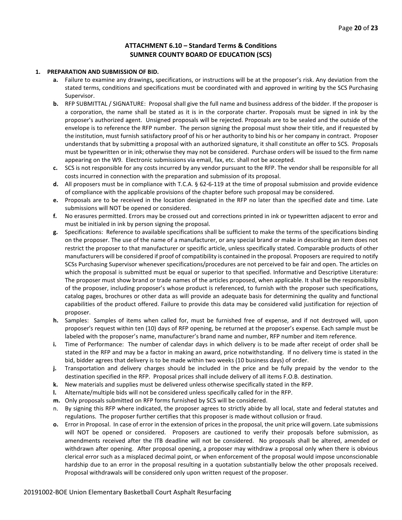### **ATTACHMENT 6.10 – Standard Terms & Conditions SUMNER COUNTY BOARD OF EDUCATION (SCS)**

#### **1. PREPARATION AND SUBMISSION OF BID.**

- **a.** Failure to examine any drawings**,** specifications, or instructions will be at the proposer's risk. Any deviation from the stated terms, conditions and specifications must be coordinated with and approved in writing by the SCS Purchasing Supervisor.
- **b.** RFP SUBMITTAL / SIGNATURE: Proposal shall give the full name and business address of the bidder. If the proposer is a corporation, the name shall be stated as it is in the corporate charter. Proposals must be signed in ink by the proposer's authorized agent. Unsigned proposals will be rejected. Proposals are to be sealed and the outside of the envelope is to reference the RFP number. The person signing the proposal must show their title, and if requested by the institution, must furnish satisfactory proof of his or her authority to bind his or her company in contract. Proposer understands that by submitting a proposal with an authorized signature, it shall constitute an offer to SCS. Proposals must be typewritten or in ink; otherwise they may not be considered. Purchase orders will be issued to the firm name appearing on the W9. Electronic submissions via email, fax, etc. shall not be accepted.
- **c.** SCS is not responsible for any costs incurred by any vendor pursuant to the RFP. The vendor shall be responsible for all costs incurred in connection with the preparation and submission of its proposal.
- **d.** All proposers must be in compliance with T.C.A. § 62-6-119 at the time of proposal submission and provide evidence of compliance with the applicable provisions of the chapter before such proposal may be considered.
- **e.** Proposals are to be received in the location designated in the RFP no later than the specified date and time. Late submissions will NOT be opened or considered.
- **f.** No erasures permitted. Errors may be crossed out and corrections printed in ink or typewritten adjacent to error and must be initialed in ink by person signing the proposal.
- **g.** Specifications: Reference to available specifications shall be sufficient to make the terms of the specifications binding on the proposer. The use of the name of a manufacturer, or any special brand or make in describing an item does not restrict the proposer to that manufacturer or specific article, unless specifically stated. Comparable products of other manufacturers will be considered if proof of compatibility is contained in the proposal. Proposers are required to notify SCSs Purchasing Supervisor whenever specifications/procedures are not perceived to be fair and open. The articles on which the proposal is submitted must be equal or superior to that specified. Informative and Descriptive Literature: The proposer must show brand or trade names of the articles proposed, when applicable. It shall be the responsibility of the proposer, including proposer's whose product is referenced, to furnish with the proposer such specifications, catalog pages, brochures or other data as will provide an adequate basis for determining the quality and functional capabilities of the product offered. Failure to provide this data may be considered valid justification for rejection of proposer.
- **h.** Samples: Samples of items when called for, must be furnished free of expense, and if not destroyed will, upon proposer's request within ten (10) days of RFP opening, be returned at the proposer's expense. Each sample must be labeled with the proposer's name, manufacturer's brand name and number, RFP number and item reference.
- **i.** Time of Performance: The number of calendar days in which delivery is to be made after receipt of order shall be stated in the RFP and may be a factor in making an award, price notwithstanding. If no delivery time is stated in the bid, bidder agrees that delivery is to be made within two weeks (10 business days) of order.
- **j.** Transportation and delivery charges should be included in the price and be fully prepaid by the vendor to the destination specified in the RFP. Proposal prices shall include delivery of all items F.O.B. destination.
- **k.** New materials and supplies must be delivered unless otherwise specifically stated in the RFP.
- **l.** Alternate/multiple bids will not be considered unless specifically called for in the RFP.
- **m.** Only proposals submitted on RFP forms furnished by SCS will be considered.
- n. By signing this RFP where indicated, the proposer agrees to strictly abide by all local, state and federal statutes and regulations. The proposer further certifies that this proposer is made without collusion or fraud.
- **o.** Error in Proposal. In case of error in the extension of prices in the proposal, the unit price will govern. Late submissions will NOT be opened or considered. Proposers are cautioned to verify their proposals before submission, as amendments received after the ITB deadline will not be considered. No proposals shall be altered, amended or withdrawn after opening. After proposal opening, a proposer may withdraw a proposal only when there is obvious clerical error such as a misplaced decimal point, or when enforcement of the proposal would impose unconscionable hardship due to an error in the proposal resulting in a quotation substantially below the other proposals received. Proposal withdrawals will be considered only upon written request of the proposer.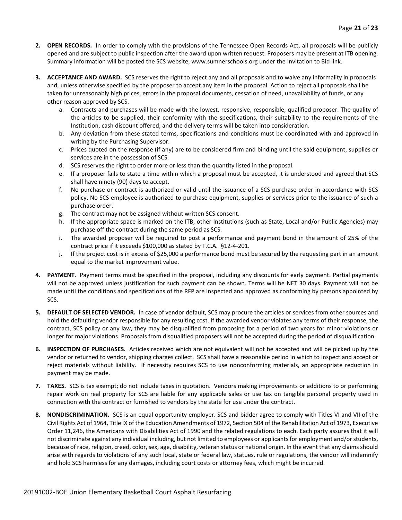- **2. OPEN RECORDS.** In order to comply with the provisions of the Tennessee Open Records Act, all proposals will be publicly opened and are subject to public inspection after the award upon written request. Proposers may be present at ITB opening. Summary information will be posted the SCS website, www.sumnerschools.org under the Invitation to Bid link.
- **3. ACCEPTANCE AND AWARD.** SCS reserves the right to reject any and all proposals and to waive any informality in proposals and, unless otherwise specified by the proposer to accept any item in the proposal. Action to reject all proposals shall be taken for unreasonably high prices, errors in the proposal documents, cessation of need, unavailability of funds, or any other reason approved by SCS.
	- a. Contracts and purchases will be made with the lowest, responsive, responsible, qualified proposer. The quality of the articles to be supplied, their conformity with the specifications, their suitability to the requirements of the Institution, cash discount offered, and the delivery terms will be taken into consideration.
	- b. Any deviation from these stated terms, specifications and conditions must be coordinated with and approved in writing by the Purchasing Supervisor.
	- c. Prices quoted on the response (if any) are to be considered firm and binding until the said equipment, supplies or services are in the possession of SCS.
	- d. SCS reserves the right to order more or less than the quantity listed in the proposal.
	- e. If a proposer fails to state a time within which a proposal must be accepted, it is understood and agreed that SCS shall have ninety (90) days to accept.
	- f. No purchase or contract is authorized or valid until the issuance of a SCS purchase order in accordance with SCS policy. No SCS employee is authorized to purchase equipment, supplies or services prior to the issuance of such a purchase order.
	- g. The contract may not be assigned without written SCS consent.
	- h. If the appropriate space is marked on the ITB, other Institutions (such as State, Local and/or Public Agencies) may purchase off the contract during the same period as SCS.
	- i. The awarded proposer will be required to post a performance and payment bond in the amount of 25% of the contract price if it exceeds \$100,000 as stated by T.C.A. §12-4-201.
	- j. If the project cost is in excess of \$25,000 a performance bond must be secured by the requesting part in an amount equal to the market improvement value.
- **4. PAYMENT**. Payment terms must be specified in the proposal, including any discounts for early payment. Partial payments will not be approved unless justification for such payment can be shown. Terms will be NET 30 days. Payment will not be made until the conditions and specifications of the RFP are inspected and approved as conforming by persons appointed by SCS.
- **5. DEFAULT OF SELECTED VENDOR.** In case of vendor default, SCS may procure the articles or services from other sources and hold the defaulting vendor responsible for any resulting cost. If the awarded vendor violates any terms of their response, the contract, SCS policy or any law, they may be disqualified from proposing for a period of two years for minor violations or longer for major violations. Proposals from disqualified proposers will not be accepted during the period of disqualification.
- **6. INSPECTION OF PURCHASES.** Articles received which are not equivalent will not be accepted and will be picked up by the vendor or returned to vendor, shipping charges collect. SCS shall have a reasonable period in which to inspect and accept or reject materials without liability. If necessity requires SCS to use nonconforming materials, an appropriate reduction in payment may be made.
- **7. TAXES.** SCS is tax exempt; do not include taxes in quotation. Vendors making improvements or additions to or performing repair work on real property for SCS are liable for any applicable sales or use tax on tangible personal property used in connection with the contract or furnished to vendors by the state for use under the contract.
- **8. NONDISCRIMINATION.** SCS is an equal opportunity employer. SCS and bidder agree to comply with Titles VI and VII of the Civil Rights Act of 1964, Title IX of the Education Amendments of 1972, Section 504 of the Rehabilitation Act of 1973, Executive Order 11,246, the Americans with Disabilities Act of 1990 and the related regulations to each. Each party assures that it will not discriminate against any individual including, but not limited to employees or applicants for employment and/or students, because of race, religion, creed, color, sex, age, disability, veteran status or national origin. In the event that any claims should arise with regards to violations of any such local, state or federal law, statues, rule or regulations, the vendor will indemnify and hold SCS harmless for any damages, including court costs or attorney fees, which might be incurred.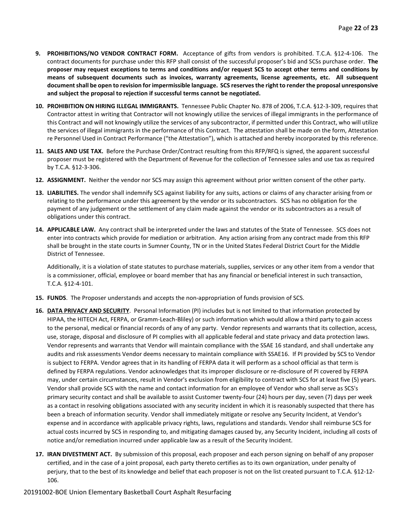- **9. PROHIBITIONS/NO VENDOR CONTRACT FORM.** Acceptance of gifts from vendors is prohibited. T.C.A. §12-4-106. The contract documents for purchase under this RFP shall consist of the successful proposer's bid and SCSs purchase order. **The proposer may request exceptions to terms and conditions and/or request SCS to accept other terms and conditions by means of subsequent documents such as invoices, warranty agreements, license agreements, etc. All subsequent document shall be open to revision for impermissible language. SCS reserves the right to render the proposal unresponsive and subject the proposal to rejection if successful terms cannot be negotiated.**
- **10. PROHIBITION ON HIRING ILLEGAL IMMIGRANTS.** Tennessee Public Chapter No. 878 of 2006, T.C.A. §12-3-309, requires that Contractor attest in writing that Contractor will not knowingly utilize the services of illegal immigrants in the performance of this Contract and will not knowingly utilize the services of any subcontractor, if permitted under this Contract, who will utilize the services of illegal immigrants in the performance of this Contract. The attestation shall be made on the form, Attestation re Personnel Used in Contract Performance ("the Attestation"), which is attached and hereby incorporated by this reference.
- **11. SALES AND USE TAX.** Before the Purchase Order/Contract resulting from this RFP/RFQ is signed, the apparent successful proposer must be registered with the Department of Revenue for the collection of Tennessee sales and use tax as required by T.C.A. §12-3-306.
- **12. ASSIGNMENT.** Neither the vendor nor SCS may assign this agreement without prior written consent of the other party.
- **13. LIABILITIES.** The vendor shall indemnify SCS against liability for any suits, actions or claims of any character arising from or relating to the performance under this agreement by the vendor or its subcontractors. SCS has no obligation for the payment of any judgement or the settlement of any claim made against the vendor or its subcontractors as a result of obligations under this contract.
- **14. APPLICABLE LAW.** Any contract shall be interpreted under the laws and statutes of the State of Tennessee. SCS does not enter into contracts which provide for mediation or arbitration. Any action arising from any contract made from this RFP shall be brought in the state courts in Sumner County, TN or in the United States Federal District Court for the Middle District of Tennessee.

Additionally, it is a violation of state statutes to purchase materials, supplies, services or any other item from a vendor that is a commissioner, official, employee or board member that has any financial or beneficial interest in such transaction, T.C.A. §12-4-101.

- **15. FUNDS**. The Proposer understands and accepts the non-appropriation of funds provision of SCS.
- **16. DATA PRIVACY AND SECURITY**. Personal Information (PI) includes but is not limited to that information protected by HIPAA, the HITECH Act, FERPA, or Gramm-Leach-Bliley) or such information which would allow a third party to gain access to the personal, medical or financial records of any of any party. Vendor represents and warrants that its collection, access, use, storage, disposal and disclosure of PI complies with all applicable federal and state privacy and data protection laws. Vendor represents and warrants that Vendor will maintain compliance with the SSAE 16 standard, and shall undertake any audits and risk assessments Vendor deems necessary to maintain compliance with SSAE16. If PI provided by SCS to Vendor is subject to FERPA. Vendor agrees that in its handling of FERPA data it will perform as a school official as that term is defined by FERPA regulations. Vendor acknowledges that its improper disclosure or re-disclosure of PI covered by FERPA may, under certain circumstances, result in Vendor's exclusion from eligibility to contract with SCS for at least five (5) years. Vendor shall provide SCS with the name and contact information for an employee of Vendor who shall serve as SCS's primary security contact and shall be available to assist Customer twenty-four (24) hours per day, seven (7) days per week as a contact in resolving obligations associated with any security incident in which it is reasonably suspected that there has been a breach of information security. Vendor shall immediately mitigate or resolve any Security Incident, at Vendor's expense and in accordance with applicable privacy rights, laws, regulations and standards. Vendor shall reimburse SCS for actual costs incurred by SCS in responding to, and mitigating damages caused by, any Security Incident, including all costs of notice and/or remediation incurred under applicable law as a result of the Security Incident.
- **17. IRAN DIVESTMENT ACT.** By submission of this proposal, each proposer and each person signing on behalf of any proposer certified, and in the case of a joint proposal, each party thereto certifies as to its own organization, under penalty of perjury, that to the best of its knowledge and belief that each proposer is not on the list created pursuant to T.C.A. §12-12- 106.

#### 20191002-BOE Union Elementary Basketball Court Asphalt Resurfacing